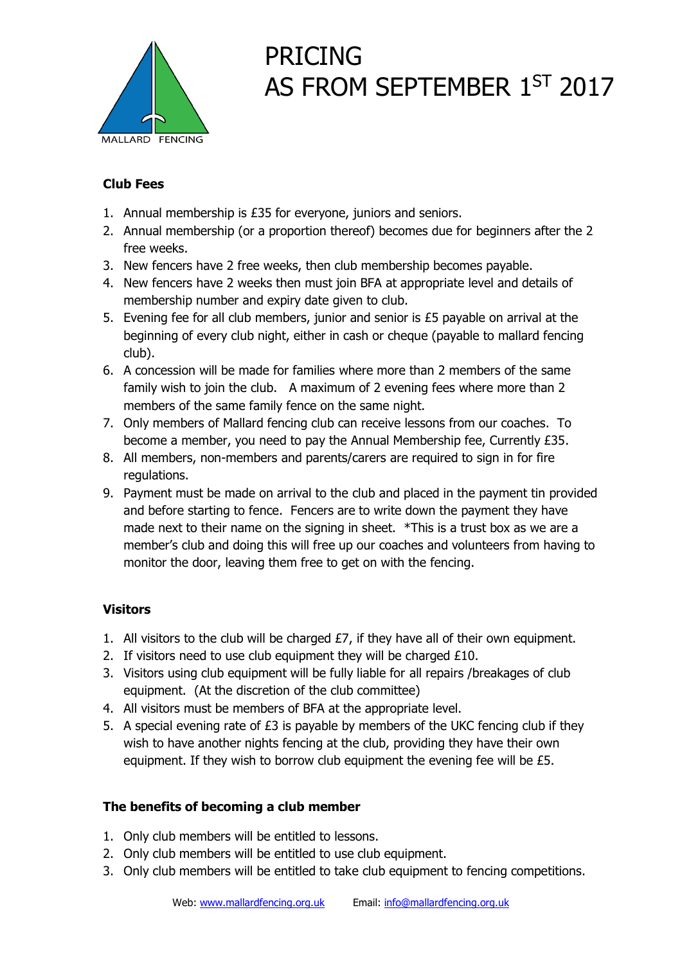

## PRICING AS FROM SEPTEMBER 1<sup>ST</sup> 2017

### **Club Fees**

- 1. Annual membership is £35 for everyone, juniors and seniors.
- 2. Annual membership (or a proportion thereof) becomes due for beginners after the 2 free weeks.
- 3. New fencers have 2 free weeks, then club membership becomes payable.
- 4. New fencers have 2 weeks then must join BFA at appropriate level and details of membership number and expiry date given to club.
- 5. Evening fee for all club members, junior and senior is £5 payable on arrival at the beginning of every club night, either in cash or cheque (payable to mallard fencing club).
- 6. A concession will be made for families where more than 2 members of the same family wish to join the club. A maximum of 2 evening fees where more than 2 members of the same family fence on the same night.
- 7. Only members of Mallard fencing club can receive lessons from our coaches. To become a member, you need to pay the Annual Membership fee, Currently £35.
- 8. All members, non-members and parents/carers are required to sign in for fire regulations.
- 9. Payment must be made on arrival to the club and placed in the payment tin provided and before starting to fence. Fencers are to write down the payment they have made next to their name on the signing in sheet. \*This is a trust box as we are a member's club and doing this will free up our coaches and volunteers from having to monitor the door, leaving them free to get on with the fencing.

### **Visitors**

- 1. All visitors to the club will be charged  $E7$ , if they have all of their own equipment.
- 2. If visitors need to use club equipment they will be charged £10.
- 3. Visitors using club equipment will be fully liable for all repairs /breakages of club equipment. (At the discretion of the club committee)
- 4. All visitors must be members of BFA at the appropriate level.
- 5. A special evening rate of  $£3$  is payable by members of the UKC fencing club if they wish to have another nights fencing at the club, providing they have their own equipment. If they wish to borrow club equipment the evening fee will be £5.

### **The benefits of becoming a club member**

- 1. Only club members will be entitled to lessons.
- 2. Only club members will be entitled to use club equipment.
- 3. Only club members will be entitled to take club equipment to fencing competitions.